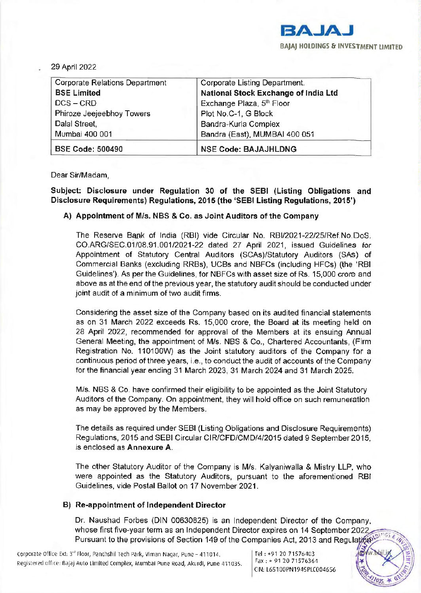

29 April 2022

| <b>Corporate Relations Department</b> | Corporate Listing Department.        |
|---------------------------------------|--------------------------------------|
| <b>BSE Limited</b>                    | National Stock Exchange of India Ltd |
| $DCS - CRD$                           | Exchange Plaza, 5th Floor            |
| Phiroze Jeejeebhoy Towers             | Plot No.C-1, G Block                 |
| Dalal Street,                         | Bandra-Kurla Complex                 |
| Mumbai 400 001                        | Bandra (East), MUMBAI 400 051        |
| <b>BSE Code: 500490</b>               | <b>NSE Code: BAJAJHLDNG</b>          |

Dear Sir/Madam,

Subject: Disclosure under Regulation 30 of the SEBI (Listing Obligations and Disclosure Requirements) Regulations, 2015 (the 'SEBI Listing Regulations, 2015')

## A) Appointment of Mis. NBS & Co. as Joint Auditors of the Company

The Reserve Bank of India (RBI) vide Circular No. RBI/2021-22/25/Ref.No.DoS. CO.ARG/SEC.01108.91.001/2021-22 dated 27 April 2021, issued Guidelines for Appointment of Statutory Central Auditors (SCAs)/Statutory Auditors (SAs) of Commercial Banks (excluding RRBs), UCBs and NBFCs (including HFCs) (the 'RBI Guidelines'). As per the Guidelines, for NBFCs with asset size of Rs. 15,000 crore and above as at the end of the previous year, the statutory audit should be conducted under joint audit of a minimum of two audit firms.

Considering the asset size of the Company based on its audited financial statements as on 31 March 2022 exceeds Rs. 15,000 crore, the Board at its meeting held on 28 April 2022, recommended for approval of the Members at its ensuing Annual General Meeting, the appointment of Mis. NBS & Co., Chartered Accountants, (Firm Registration No. 110100W) as the Joint statutory auditors of the Company for a continuous period of three years, i.e., to conduct the audit of accounts of the Company for the financial year ending 31 March 2023, 31 March 2024 and 31 March 2025.

Mis. NBS & Co. have confirmed their eligibility to be appointed as the Joint Statutory Auditors of the Company. On appointment, they will hold office on such remuneration as may be approved by the Members.

The details as required under SEBI (Listing Obligations and Disclosure Requirements) Regulations, 2015 and SEBI Circular CIR/CFD/CMD/4/2015 dated 9 September 2015, is enclosed as Annexure A.

The other Statutory Auditor of the Company is Mis. Kalyaniwalla & Mistry LLP, who were appointed as the Statutory Auditors, pursuant to the aforementioned RBI Guidelines. vide Postal Ballot on 17 November 2021.

## B) Re-appointment of Independent Director

Dr. Naushad Forbes (DIN 00630825) is an Independent Director of the Company, whose first five-year term as an Independent Director expires on 14 September 2022 Pursuant to the provisions of Section 149 of the Companies Act, 2013 and Regulation

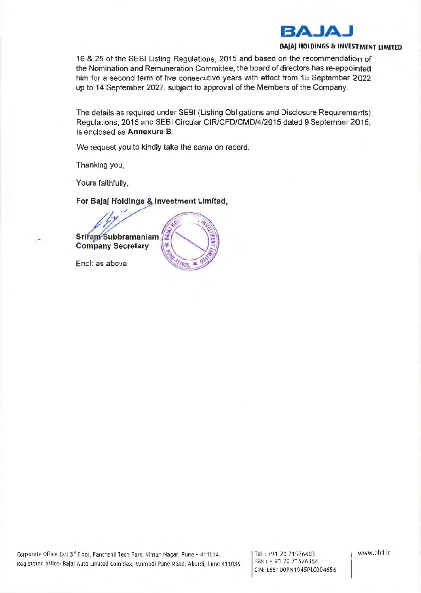

## **BAJAJ HOLDINGS & INVESTMENT LIMITED**

16 & 25 of the SEBI Listing Regulations, 2015 and based on the recommendation of the Nomination and Remuneration Committee, the board of directors has re-appointed him for a second term of five consecutive years with effect from 15 September 2022 up to 14 September 2027, subject to approval of the Members of the Company.

The details as required under SEBI (Listing Obligations and Disclosure Requirements) Regulations, 2015 and SEBI Circular CIR/CFD/CMD/4/2015 dated 9 September 2015, is enclosed as **Annexure 8 .** 

We request you to kindly take the same on record.

 $0.35$ 

Thanking you,

Yours faithfully,

For Bajaj Holdings & Investment Limited,



Encl: as above

www.bhil.in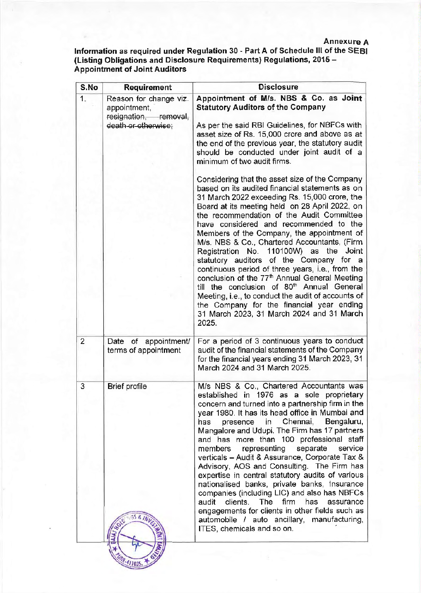## Annexure A

Information as required under Regulation 30 - Part A of Schedule Ill of the SEBI (Listing Obligations and Disclosure Requirements) Regulations, 2015 - Appointment of Joint Auditors

| <b>Requirement</b>                                                                     | <b>Disclosure</b>                                                                                                                                                                                                                                                                                                                                                                                                                                                                                                                                                                                                                                                                                                                                                                                                                           |
|----------------------------------------------------------------------------------------|---------------------------------------------------------------------------------------------------------------------------------------------------------------------------------------------------------------------------------------------------------------------------------------------------------------------------------------------------------------------------------------------------------------------------------------------------------------------------------------------------------------------------------------------------------------------------------------------------------------------------------------------------------------------------------------------------------------------------------------------------------------------------------------------------------------------------------------------|
| Reason for change viz.<br>appointment,<br>resignation, removal,<br>death or otherwise; | Appointment of M/s. NBS & Co. as Joint<br><b>Statutory Auditors of the Company</b><br>As per the said RBI Guidelines, for NBFCs with<br>asset size of Rs. 15,000 crore and above as at<br>the end of the previous year, the statutory audit<br>should be conducted under joint audit of a<br>minimum of two audit firms.                                                                                                                                                                                                                                                                                                                                                                                                                                                                                                                    |
|                                                                                        | Considering that the asset size of the Company<br>based on its audited financial statements as on<br>31 March 2022 exceeding Rs. 15,000 crore, the<br>Board at its meeting held on 28 April 2022, on<br>the recommendation of the Audit Committee<br>have considered and recommended to the<br>Members of the Company, the appointment of<br>M/s. NBS & Co., Chartered Accountants, (Firm<br>Registration No. 110100W) as the<br>Joint<br>statutory auditors of the Company for a<br>continuous period of three years, i.e., from the<br>conclusion of the 77 <sup>th</sup> Annual General Meeting<br>till the conclusion of 80 <sup>th</sup> Annual General<br>Meeting, i.e., to conduct the audit of accounts of<br>the Company for the financial year ending<br>31 March 2023, 31 March 2024 and 31 March<br>2025.                       |
| Date of appointment/<br>terms of appointment                                           | For a period of 3 continuous years to conduct<br>audit of the financial statements of the Company<br>for the financial years ending 31 March 2023, 31<br>March 2024 and 31 March 2025.                                                                                                                                                                                                                                                                                                                                                                                                                                                                                                                                                                                                                                                      |
| <b>Brief profile</b>                                                                   | M/s NBS & Co., Chartered Accountants was<br>established in 1976 as a sole proprietary<br>concern and turned into a partnership firm in the<br>year 1980. It has its head office in Mumbai and<br>Chennai,<br>Bengaluru,<br>has<br>in<br>presence<br>Mangalore and Udupi. The Firm has 17 partners<br>and has more than 100 professional staff<br>representing<br>separate<br>service<br>members<br>verticals - Audit & Assurance, Corporate Tax &<br>Advisory, AOS and Consulting. The Firm has<br>expertise in central statutory audits of various<br>nationalised banks, private banks, Insurance<br>companies (including LIC) and also has NBFCs<br>firm<br>audit<br>The<br>has<br>clients.<br>assurance<br>engagements for clients in other fields such as<br>automobile / auto ancillary, manufacturing,<br>ITES, chemicals and so on. |
|                                                                                        |                                                                                                                                                                                                                                                                                                                                                                                                                                                                                                                                                                                                                                                                                                                                                                                                                                             |